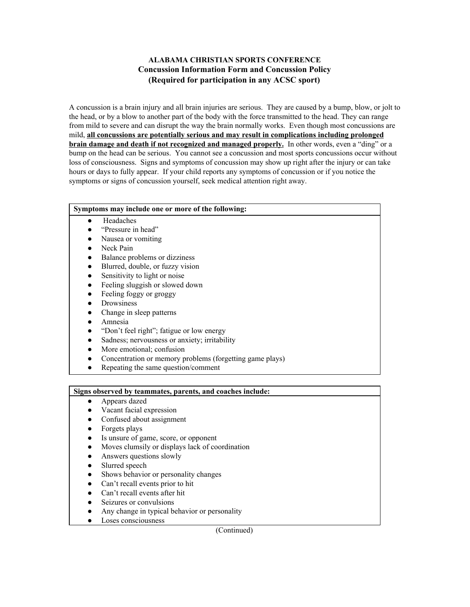# **ALABAMA CHRISTIAN SPORTS CONFERENCE Concussion Information Form and Concussion Policy (Required for participation in any ACSC sport)**

A concussion is a brain injury and all brain injuries are serious. They are caused by a bump, blow, or jolt to the head, or by a blow to another part of the body with the force transmitted to the head. They can range from mild to severe and can disrupt the way the brain normally works. Even though most concussions are mild, **all concussions are potentially serious and may result in complications including prolonged brain damage and death if not recognized and managed properly.** In other words, even a "ding" or a bump on the head can be serious. You cannot see a concussion and most sports concussions occur without loss of consciousness. Signs and symptoms of concussion may show up right after the injury or can take hours or days to fully appear. If your child reports any symptoms of concussion or if you notice the symptoms or signs of concussion yourself, seek medical attention right away.

| Symptoms may include one or more of the following:       |  |
|----------------------------------------------------------|--|
| Headaches<br>$\bullet$                                   |  |
| "Pressure in head"                                       |  |
| Nausea or vomiting                                       |  |
| Neck Pain<br>$\bullet$                                   |  |
| Balance problems or dizziness                            |  |
| Blurred, double, or fuzzy vision<br>$\bullet$            |  |
| Sensitivity to light or noise<br>$\bullet$               |  |
| Feeling sluggish or slowed down                          |  |
| Feeling foggy or groggy                                  |  |
| Drowsiness                                               |  |
| Change in sleep patterns<br>$\bullet$                    |  |
| Amnesia                                                  |  |
| "Don't feel right"; fatigue or low energy<br>$\bullet$   |  |
| Sadness; nervousness or anxiety; irritability            |  |
| More emotional; confusion                                |  |
| Concentration or memory problems (forgetting game plays) |  |

• Repeating the same question/comment

## **Signs observed by teammates, parents, and coaches include:**

- **●** Appears dazed
- **●** Vacant facial expression
- **●** Confused about assignment
- **●** Forgets plays
- Is unsure of game, score, or opponent
- **●** Moves clumsily or displays lack of coordination
- **●** Answers questions slowly
- **Slurred** speech
- **●** Shows behavior or personality changes
- **●** Can't recall events prior to hit
- **●** Can't recall events after hit
- **●** Seizures or convulsions
- Any change in typical behavior or personality
- **●** Loses consciousness

(Continued)